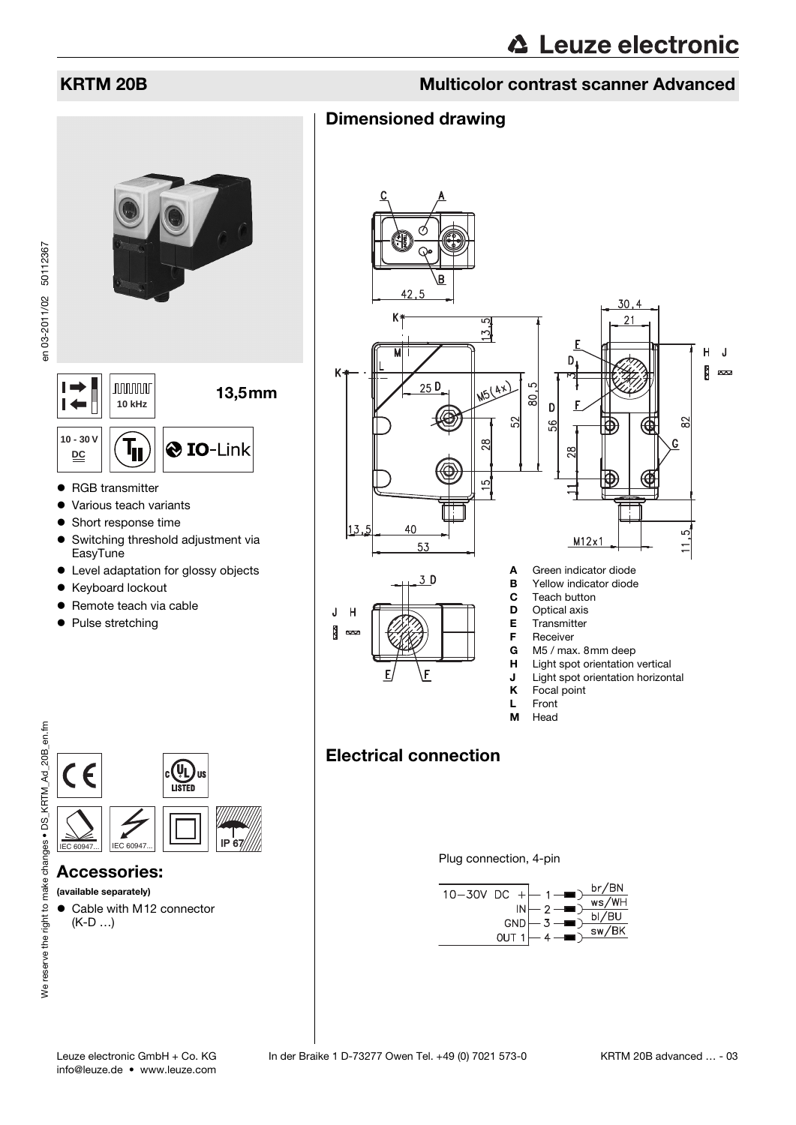en 03-2011/02 50112367

# KRTM 20B Multicolor contrast scanner Advanced

# Dimensioned drawing



- Switching threshold adjustment via EasyTune
- Level adaptation for glossy objects
- Keyboard lockout
- Remote teach via cable
- Pulse stretching



## Accessories:

### (available separately)

● Cable with M12 connector (K-D …)



- **J** Light spot orientation horizontal<br>**K** Focal point
	- Focal point
- L Front M Head

# Electrical connection

Plug connection, 4-pin

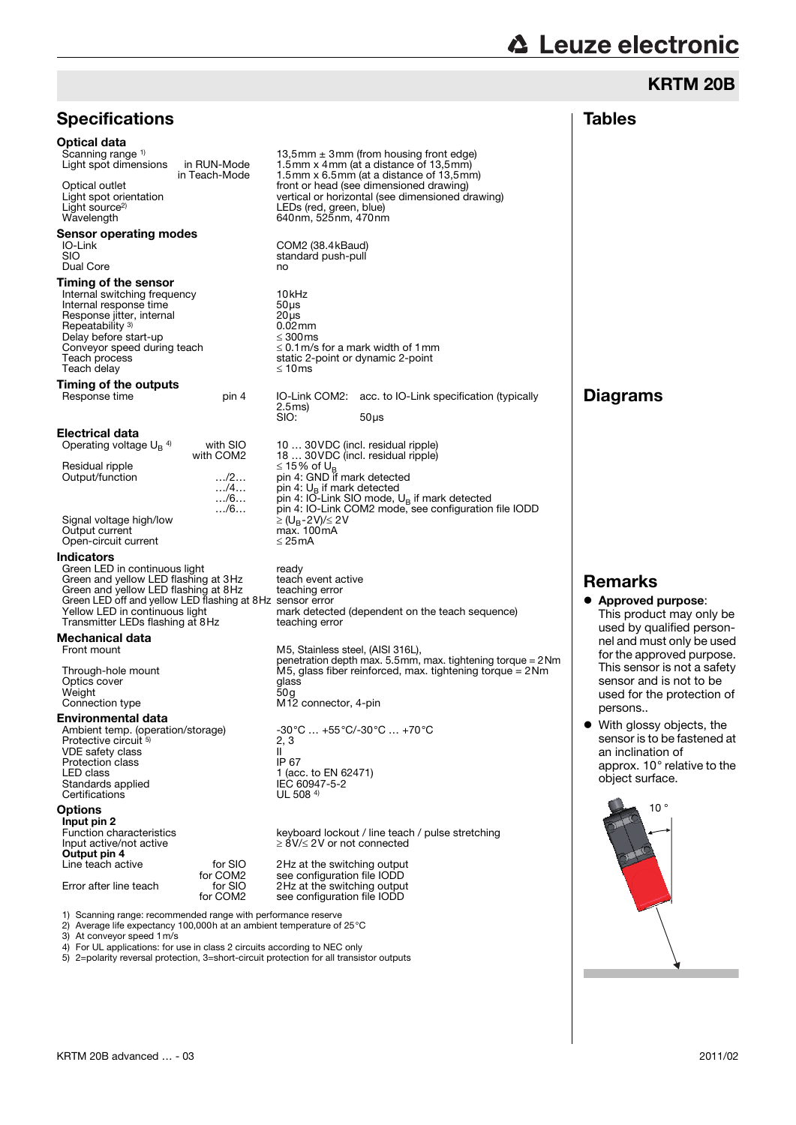# **∆ Leuze electronic**

# KRTM 20B

| <b>Specifications</b>                                                                                                                                                                                                                                          |                                                                                    |                                                                                                                                                                                                                                                                                                                                                              | <b>Tables</b>                                                                                                                                                               |  |  |  |
|----------------------------------------------------------------------------------------------------------------------------------------------------------------------------------------------------------------------------------------------------------------|------------------------------------------------------------------------------------|--------------------------------------------------------------------------------------------------------------------------------------------------------------------------------------------------------------------------------------------------------------------------------------------------------------------------------------------------------------|-----------------------------------------------------------------------------------------------------------------------------------------------------------------------------|--|--|--|
| <b>Optical data</b><br>Scanning range <sup>1)</sup><br>Light spot dimensions<br>Optical outlet<br>Light spot orientation<br>Light source <sup>2)</sup><br>Wavelength                                                                                           | in RUN-Mode<br>in Teach-Mode                                                       | 13,5mm $\pm$ 3mm (from housing front edge)<br>1.5mm x 4mm (at a distance of 13,5mm)<br>1.5mm x 6.5mm (at a distance of 13,5mm)<br>front or head (see dimensioned drawing)<br>vertical or horizontal (see dimensioned drawing)<br>LEDs (red, green, blue)<br>640nm, 525nm, 470nm                                                                              |                                                                                                                                                                             |  |  |  |
| Sensor operating modes<br>IO-Link<br><b>SIO</b><br>Dual Core                                                                                                                                                                                                   |                                                                                    | COM2 (38.4 kBaud)<br>standard push-pull<br>no                                                                                                                                                                                                                                                                                                                |                                                                                                                                                                             |  |  |  |
| Timing of the sensor<br>Internal switching frequency<br>Internal response time<br>Response jitter, internal<br>Repeatability <sup>3)</sup><br>Delay before start-up<br>Conveyor speed during teach<br>Teach process<br>Teach delay                             |                                                                                    | 10 <sub>kHz</sub><br>$50\,\mu s$<br>$20µ$ s<br>$0.02$ mm<br>$\leq 300$ ms<br>$\leq$ 0.1 m/s for a mark width of 1 mm<br>static 2-point or dynamic 2-point<br>≤ 10 $ms$                                                                                                                                                                                       |                                                                                                                                                                             |  |  |  |
| Timing of the outputs<br>Response time                                                                                                                                                                                                                         | pin 4                                                                              | IO-Link COM2: acc. to IO-Link specification (typically<br>2.5ms<br>SIO:<br>$50\,\mu s$                                                                                                                                                                                                                                                                       | <b>Diagrams</b>                                                                                                                                                             |  |  |  |
| Electrical data<br>Operating voltage $U_B$ <sup>4)</sup><br>Residual ripple<br>Output/function<br>Signal voltage high/low<br>Output current<br>Open-circuit current                                                                                            | with SIO<br>with COM2<br>$\dots/2\dots$<br>$\ldots$ /4<br>$\ldots/6$<br>$\ldots/6$ | 10  30 VDC (incl. residual ripple)<br>18  30VDC (incl. residual ripple)<br>≤ 15% of U <sub>B</sub><br>pin 4: GND if mark detected<br>pin 4: $U_{\rm B}$ if mark detected<br>pin 4: IO-Link SIO mode, $U_B$ if mark detected<br>pin 4: IO-Link COM2 mode, see configuration file IODD<br>$\geq$ (U <sub>B</sub> -2V)/ $\leq$ 2V<br>max. 100mA<br>$\leq$ 25 mA |                                                                                                                                                                             |  |  |  |
| Indicators<br>Green LED in continuous light<br>Green and yellow LED flashing at 3Hz<br>Green and yellow LED flashing at 8Hz<br>Green LED off and yellow LED flashing at 8Hz sensor error<br>Yellow LED in continuous light<br>Transmitter LEDs flashing at 8Hz |                                                                                    | ready<br>teach event active<br>teaching error<br>mark detected (dependent on the teach sequence)<br>teaching error                                                                                                                                                                                                                                           | <b>Remarks</b><br>• Approved purpose:<br>This product may only be                                                                                                           |  |  |  |
| Mechanical data<br>Front mount<br>Through-hole mount<br>Optics cover<br>Weight<br>Connection type                                                                                                                                                              |                                                                                    | M5, Stainless steel, (AISI 316L),<br>penetration depth max. 5.5mm, max. tightening torque = 2Nm<br>M5, glass fiber reinforced, max. tightening torque = $2Nm$<br>glass<br>50g<br>M <sub>12</sub> connector, 4-pin                                                                                                                                            | used by qualified person-<br>nel and must only be used<br>for the approved purpose.<br>This sensor is not a safety<br>sensor and is not to be<br>used for the protection of |  |  |  |
| <b>Environmental data</b><br>Ambient temp. (operation/storage)<br>Protective circuit 5)<br>VDE safety class<br>Protection class<br>LED class<br>Standards applied<br>Certifications                                                                            |                                                                                    | -30°C  +55°C/-30°C  +70°C<br>2, 3<br>$\mathbf{I}$<br>IP 67<br>1 (acc. to EN 62471)<br>IEC 60947-5-2<br>UL 508 4)                                                                                                                                                                                                                                             | persons<br>• With glossy objects, the<br>sensor is to be fastened at<br>an inclination of<br>approx. 10° relative to the<br>object surface.                                 |  |  |  |
| <b>Options</b><br>Input pin 2<br>Function characteristics<br>Input active/not active<br>Output pin 4<br>Line teach active<br>Error after line teach                                                                                                            | for SIO<br>for COM <sub>2</sub><br>for SIO<br>for COM <sub>2</sub>                 | keyboard lockout / line teach / pulse stretching<br>$\geq$ 8V/ $\leq$ 2V or not connected<br>2Hz at the switching output<br>see configuration file IODD<br>2Hz at the switching output<br>see configuration file IODD                                                                                                                                        | 10 <sup>°</sup>                                                                                                                                                             |  |  |  |

3) At conveyor speed 1m/s 4) For UL applications: for use in class 2 circuits according to NEC only

5) 2=polarity reversal protection, 3=short-circuit protection for all transistor outputs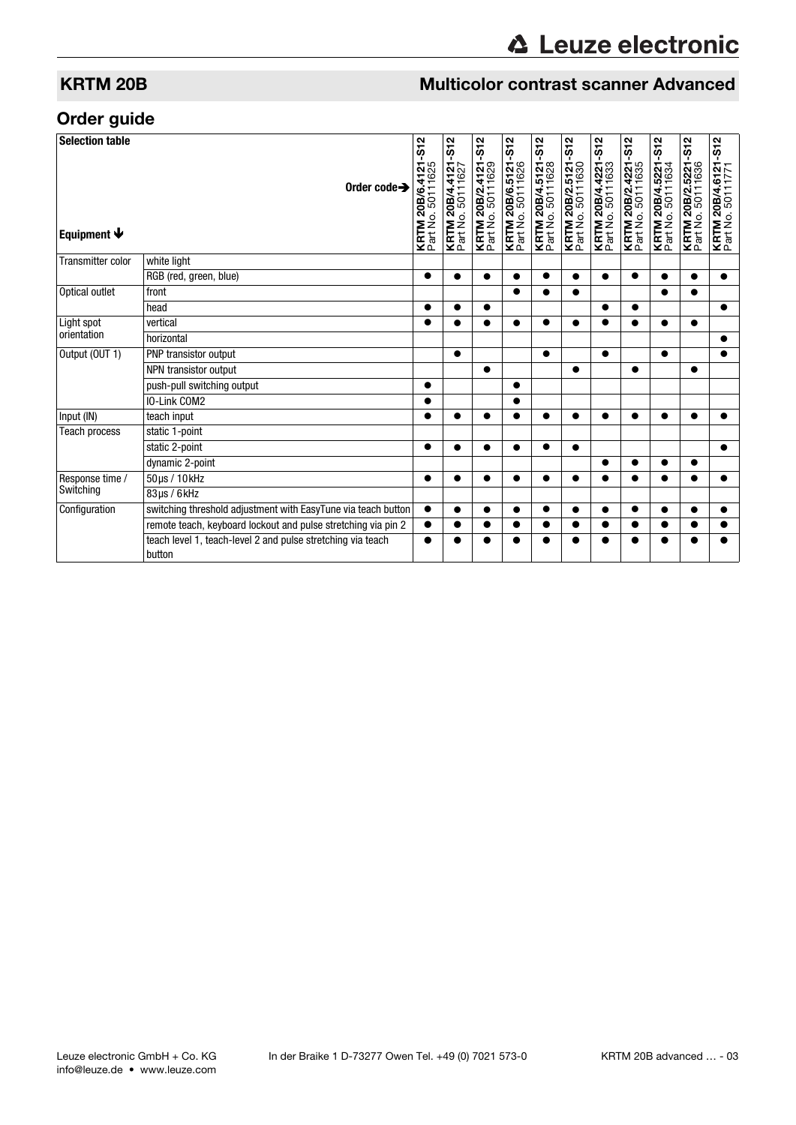# **KRTM 20B Multicolor contrast scanner Advanced**

# Order guide

| <b>Selection table</b><br>Equipment $\blacklozenge$ | Order code $\rightarrow$                                              | $-512$<br>4121<br><b>KRTM 20B/6.4</b><br>Part No. 50111 | $-512$<br>KRTM 20B/4.4121<br>Part No. 50111627 | $-512$<br>4121<br><b>KRTM 20B/2.4</b><br>Part No. 50111 | $-512$<br>KRTM 20B/6.5121<br>Part No. 50111626 | $-512$<br>KRTM 20B/4.5121<br>Part No. 50111628 | KRTM 20B/2.5121-S12<br>Part No. 50111630 | $-512$<br><b>KRTM 20B/4.4221</b><br><b>F24.No.50111633</b> | $-512$<br>4221<br>1635<br><b>KRTM 20B/2.4</b><br>Part No. 5011 | $-512$<br>5221<br>1634<br><b>KRTM 20B/4.5</b><br>Part No. 50111 | $-512$<br>5221<br><b>KRTM 20B/2.5</b><br>Part No. 50111 | $-512$<br>KRTM 20B/4.6121<br>Part No. 50111771 |
|-----------------------------------------------------|-----------------------------------------------------------------------|---------------------------------------------------------|------------------------------------------------|---------------------------------------------------------|------------------------------------------------|------------------------------------------------|------------------------------------------|------------------------------------------------------------|----------------------------------------------------------------|-----------------------------------------------------------------|---------------------------------------------------------|------------------------------------------------|
| Transmitter color<br>Optical outlet                 | white light                                                           |                                                         |                                                |                                                         |                                                |                                                |                                          |                                                            |                                                                |                                                                 |                                                         |                                                |
|                                                     | RGB (red, green, blue)                                                | $\bullet$                                               | $\bullet$                                      | $\bullet$                                               | $\bullet$                                      | $\bullet$                                      | $\bullet$                                | $\bullet$                                                  | $\bullet$                                                      | $\bullet$                                                       | $\bullet$                                               | $\bullet$                                      |
|                                                     | front                                                                 |                                                         |                                                |                                                         | $\bullet$                                      | ●                                              |                                          |                                                            |                                                                | $\bullet$                                                       | ●                                                       |                                                |
|                                                     | head                                                                  |                                                         |                                                |                                                         |                                                |                                                |                                          | ●                                                          | ●                                                              |                                                                 |                                                         | $\bullet$                                      |
| Light spot<br>orientation                           | vertical                                                              | $\bullet$                                               |                                                |                                                         | $\bullet$                                      | $\bullet$                                      |                                          | $\bullet$                                                  |                                                                | $\bullet$                                                       | $\bullet$                                               |                                                |
|                                                     | horizontal                                                            |                                                         |                                                |                                                         |                                                |                                                |                                          |                                                            |                                                                |                                                                 |                                                         | ●                                              |
| Output (OUT 1)                                      | PNP transistor output                                                 |                                                         | $\bullet$                                      |                                                         |                                                | $\bullet$                                      |                                          | $\bullet$                                                  |                                                                | $\bullet$                                                       |                                                         |                                                |
|                                                     | NPN transistor output                                                 |                                                         |                                                | $\bullet$                                               |                                                |                                                | $\bullet$                                |                                                            | $\bullet$                                                      |                                                                 | $\bullet$                                               |                                                |
|                                                     | push-pull switching output                                            | $\bullet$                                               |                                                |                                                         | $\bullet$                                      |                                                |                                          |                                                            |                                                                |                                                                 |                                                         |                                                |
|                                                     | IO-Link COM2                                                          |                                                         |                                                |                                                         | ●                                              |                                                |                                          |                                                            |                                                                |                                                                 |                                                         |                                                |
| Input (IN)                                          | teach input                                                           | 0                                                       |                                                | ●                                                       | ●                                              | ●                                              |                                          | $\bullet$                                                  |                                                                |                                                                 |                                                         |                                                |
| <b>Teach process</b>                                | static 1-point                                                        |                                                         |                                                |                                                         |                                                |                                                |                                          |                                                            |                                                                |                                                                 |                                                         |                                                |
|                                                     | static 2-point                                                        | $\bullet$                                               |                                                | $\bullet$                                               | $\bullet$                                      | ●                                              |                                          |                                                            |                                                                |                                                                 |                                                         |                                                |
|                                                     | dynamic 2-point                                                       |                                                         |                                                |                                                         |                                                |                                                |                                          | $\bullet$                                                  |                                                                | $\bullet$                                                       |                                                         |                                                |
| Response time /<br>Switching                        | 50µs / 10kHz                                                          |                                                         | ●                                              | ●                                                       | ●                                              |                                                |                                          | ●                                                          |                                                                | ●                                                               |                                                         |                                                |
|                                                     | 83us / 6kHz                                                           |                                                         |                                                |                                                         |                                                |                                                |                                          |                                                            |                                                                |                                                                 |                                                         |                                                |
| Configuration                                       | switching threshold adjustment with EasyTune via teach button         | $\bullet$                                               | ●                                              | $\bullet$                                               | $\bullet$                                      | $\bullet$                                      |                                          | $\bullet$                                                  | $\bullet$                                                      | $\bullet$                                                       |                                                         | ●                                              |
|                                                     | remote teach, keyboard lockout and pulse stretching via pin 2         | $\bullet$                                               | Α                                              | ●                                                       |                                                | ●                                              |                                          | ●                                                          |                                                                | e                                                               |                                                         |                                                |
|                                                     | teach level 1, teach-level 2 and pulse stretching via teach<br>button |                                                         |                                                |                                                         |                                                |                                                |                                          |                                                            |                                                                |                                                                 |                                                         |                                                |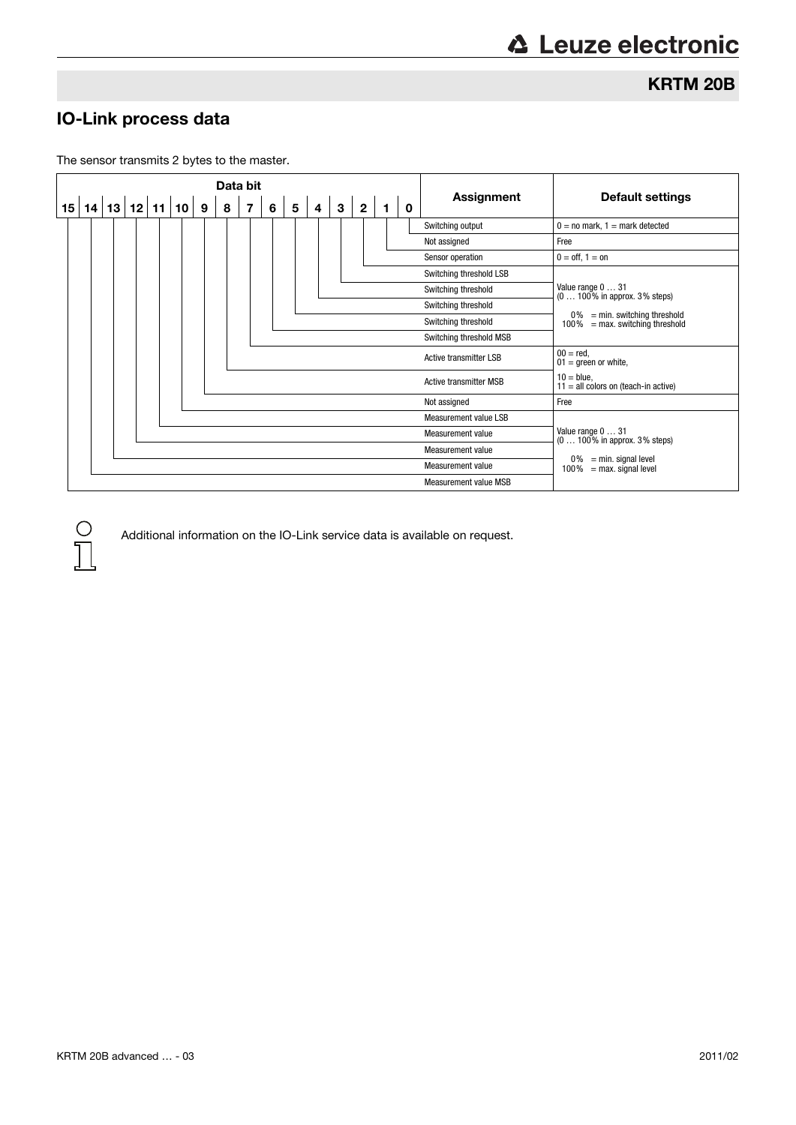KRTM 20B

# IO-Link process data

 $\bigcirc$ 

The sensor transmits 2 bytes to the master.



Additional information on the IO-Link service data is available on request.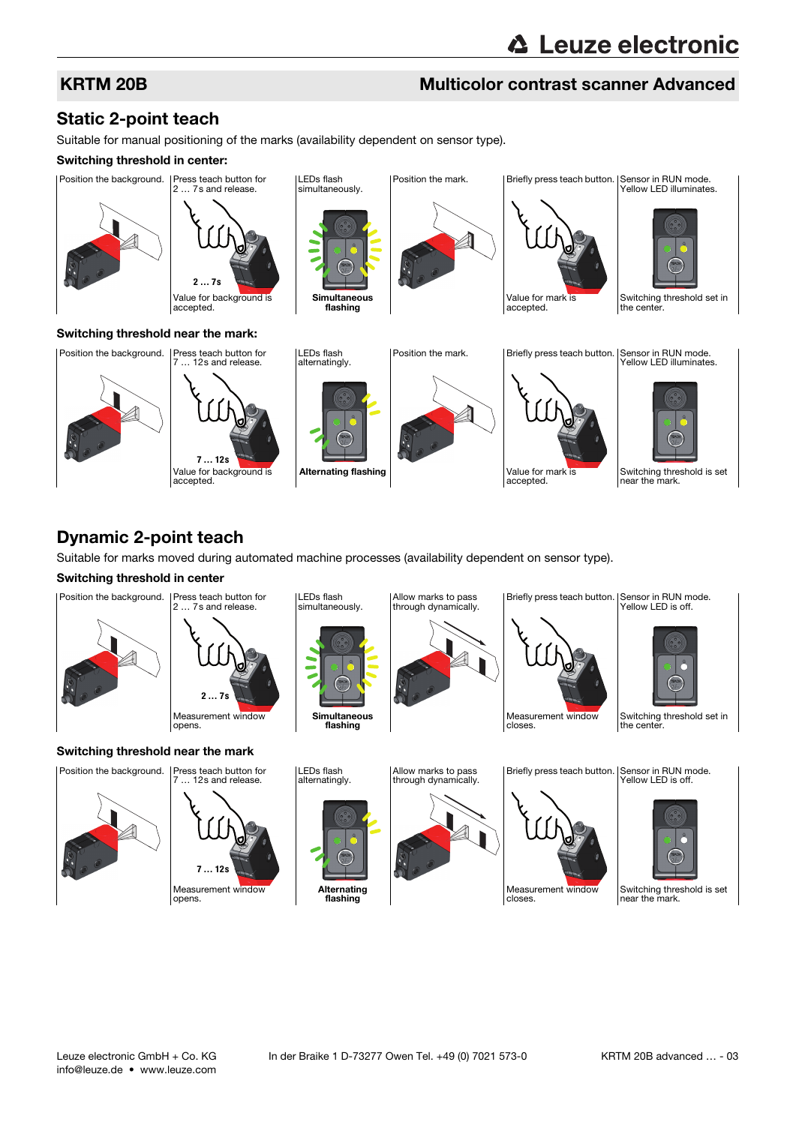# KRTM 20B Multicolor contrast scanner Advanced

# Static 2-point teach

Suitable for manual positioning of the marks (availability dependent on sensor type).

### Switching threshold in center:



Alternating flashing **Value For mark is** Value for mark is

accepted.

# Dynamic 2-point teach

Suitable for marks moved during automated machine processes (availability dependent on sensor type).

## Switching threshold in center





Measurement window opens. **7 … 12s**

Value for background is

**7 … 12s**

accepted.





Measurement window







Switching threshold is set near the mark.

Switching threshold is set near the mark.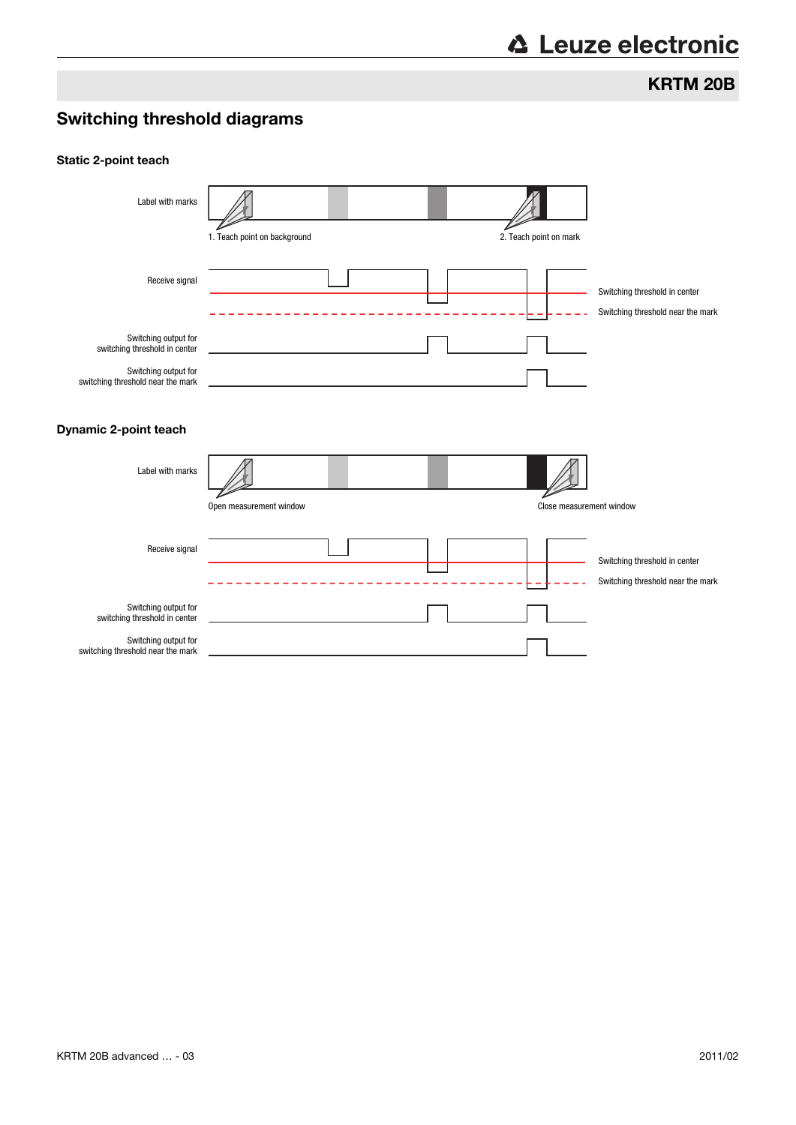# **△ Leuze electronic**

KRTM 20B

# Switching threshold diagrams

### Static 2-point teach

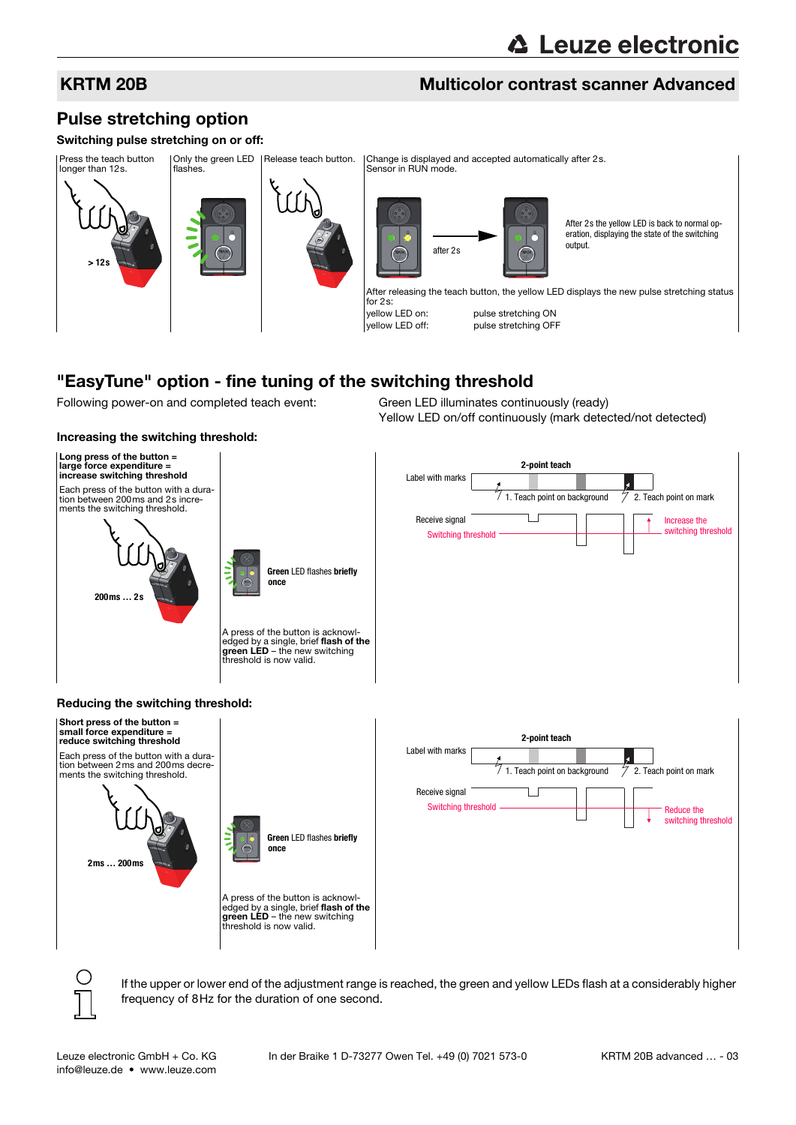# **△ Leuze electronic**

# KRTM 20B Multicolor contrast scanner Advanced

# Pulse stretching option

### Switching pulse stretching on or off:



# "EasyTune" option - fine tuning of the switching threshold

Following power-on and completed teach event: Green LED illuminates continuously (ready)

Increasing the switching threshold:

Yellow LED on/off continuously (mark detected/not detected)



If the upper or lower end of the adjustment range is reached, the green and yellow LEDs flash at a considerably higher frequency of 8Hz for the duration of one second.